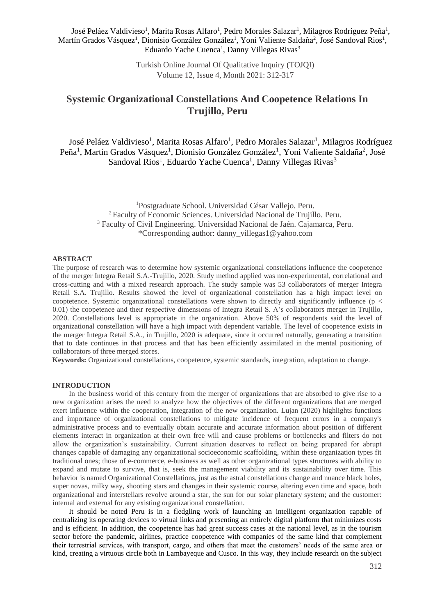José Peláez Valdivieso<sup>1</sup>, Marita Rosas Alfaro<sup>1</sup>, Pedro Morales Salazar<sup>1</sup>, Milagros Rodríguez Peña<sup>1</sup>, Martín Grados Vásquez<sup>1</sup>, Dionisio González González<sup>1</sup>, Yoni Valiente Saldaña<sup>2</sup>, José Sandoval Rios<sup>1</sup>, Eduardo Yache Cuenca<sup>1</sup>, Danny Villegas Rivas<sup>3</sup>

> Turkish Online Journal Of Qualitative Inquiry (TOJQI) Volume 12, Issue 4, Month 2021: 312-317

# **Systemic Organizational Constellations And Coopetence Relations In Trujillo, Peru**

José Peláez Valdivieso<sup>1</sup>, Marita Rosas Alfaro<sup>1</sup>, Pedro Morales Salazar<sup>1</sup>, Milagros Rodríguez Peña<sup>1</sup>, Martín Grados Vásquez<sup>1</sup>, Dionisio González González<sup>1</sup>, Yoni Valiente Saldaña<sup>2</sup>, José Sandoval Rios<sup>1</sup>, Eduardo Yache Cuenca<sup>1</sup>, Danny Villegas Rivas<sup>3</sup>

> Postgraduate School. Universidad César Vallejo. Peru. Faculty of Economic Sciences. Universidad Nacional de Trujillo. Peru. Faculty of Civil Engineering. Universidad Nacional de Jaén. Cajamarca, Peru. \*Corresponding author: danny\_villegas1@yahoo.com

## **ABSTRACT**

The purpose of research was to determine how systemic organizational constellations influence the coopetence of the merger Integra Retail S.A.-Trujillo, 2020. Study method applied was non-experimental, correlational and cross-cutting and with a mixed research approach. The study sample was 53 collaborators of merger Integra Retail S.A. Trujillo. Results showed the level of organizational constellation has a high impact level on cooptetence. Systemic organizational constellations were shown to directly and significantly influence ( $p <$ 0.01) the coopetence and their respective dimensions of Integra Retail S. A's collaborators merger in Trujillo, 2020. Constellations level is appropriate in the organization. Above 50% of respondents said the level of organizational constellation will have a high impact with dependent variable. The level of coopetence exists in the merger Integra Retail S.A., in Trujillo, 2020 is adequate, since it occurred naturally, generating a transition that to date continues in that process and that has been efficiently assimilated in the mental positioning of collaborators of three merged stores.

**Keywords:** Organizational constellations, coopetence, systemic standards, integration, adaptation to change.

#### **INTRODUCTION**

In the business world of this century from the merger of organizations that are absorbed to give rise to a new organization arises the need to analyze how the objectives of the different organizations that are merged exert influence within the cooperation, integration of the new organization. Lujan (2020) highlights functions and importance of organizational constellations to mitigate incidence of frequent errors in a company's administrative process and to eventually obtain accurate and accurate information about position of different elements interact in organization at their own free will and cause problems or bottlenecks and filters do not allow the organization's sustainability. Current situation deserves to reflect on being prepared for abrupt changes capable of damaging any organizational socioeconomic scaffolding, within these organization types fit traditional ones; those of e-commerce, e-business as well as other organizational types structures with ability to expand and mutate to survive, that is, seek the management viability and its sustainability over time. This behavior is named Organizational Constellations, just as the astral constellations change and nuance black holes, super novas, milky way, shooting stars and changes in their systemic course, altering even time and space, both organizational and interstellars revolve around a star, the sun for our solar planetary system; and the customer: internal and external for any existing organizational constellation.

It should be noted Peru is in a fledgling work of launching an intelligent organization capable of centralizing its operating devices to virtual links and presenting an entirely digital platform that minimizes costs and is efficient. In addition, the coopetence has had great success cases at the national level, as in the tourism sector before the pandemic, airlines, practice coopetence with companies of the same kind that complement their terrestrial services, with transport, cargo, and others that meet the customers' needs of the same area or kind, creating a virtuous circle both in Lambayeque and Cusco. In this way, they include research on the subject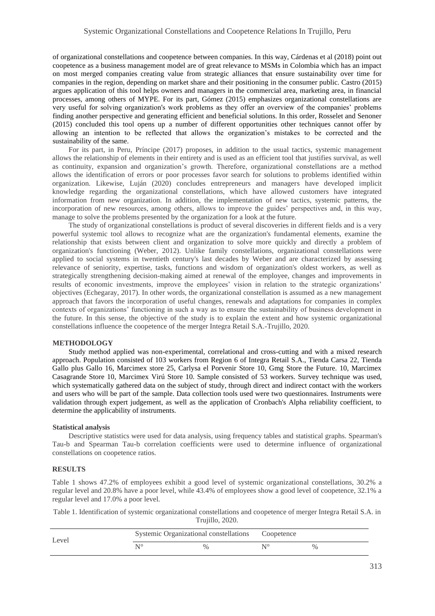of organizational constellations and coopetence between companies. In this way, Cárdenas et al (2018) point out coopetence as a business management model are of great relevance to MSMs in Colombia which has an impact on most merged companies creating value from strategic alliances that ensure sustainability over time for companies in the region, depending on market share and their positioning in the consumer public. Castro (2015) argues application of this tool helps owners and managers in the commercial area, marketing area, in financial processes, among others of MYPE. For its part, Gómez (2015) emphasizes organizational constellations are very useful for solving organization's work problems as they offer an overview of the companies' problems finding another perspective and generating efficient and beneficial solutions. In this order, Rosselet and Senoner (2015) concluded this tool opens up a number of different opportunities other techniques cannot offer by allowing an intention to be reflected that allows the organization's mistakes to be corrected and the sustainability of the same.

For its part, in Peru, Príncipe (2017) proposes, in addition to the usual tactics, systemic management allows the relationship of elements in their entirety and is used as an efficient tool that justifies survival, as well as continuity, expansion and organization's growth. Therefore, organizational constellations are a method allows the identification of errors or poor processes favor search for solutions to problems identified within organization. Likewise, Luján (2020) concludes entrepreneurs and managers have developed implicit knowledge regarding the organizational constellations, which have allowed customers have integrated information from new organization. In addition, the implementation of new tactics, systemic patterns, the incorporation of new resources, among others, allows to improve the guides' perspectives and, in this way, manage to solve the problems presented by the organization for a look at the future.

The study of organizational constellations is product of several discoveries in different fields and is a very powerful systemic tool allows to recognize what are the organization's fundamental elements, examine the relationship that exists between client and organization to solve more quickly and directly a problem of organization's functioning (Weber, 2012). Unlike family constellations, organizational constellations were applied to social systems in twentieth century's last decades by Weber and are characterized by assessing relevance of seniority, expertise, tasks, functions and wisdom of organization's oldest workers, as well as strategically strengthening decision-making aimed at renewal of the employee, changes and improvements in results of economic investments, improve the employees' vision in relation to the strategic organizations' objectives (Echegaray, 2017). In other words, the organizational constellation is assumed as a new management approach that favors the incorporation of useful changes, renewals and adaptations for companies in complex contexts of organizations' functioning in such a way as to ensure the sustainability of business development in the future. In this sense, the objective of the study is to explain the extent and how systemic organizational constellations influence the coopetence of the merger Integra Retail S.A.-Trujillo, 2020.

### **METHODOLOGY**

Study method applied was non-experimental, correlational and cross-cutting and with a mixed research approach. Population consisted of 103 workers from Region 6 of Integra Retail S.A., Tienda Carsa 22, Tienda Gallo plus Gallo 16, Marcimex store 25, Carlysa el Porvenir Store 10, Gmg Store the Future. 10, Marcimex Casagrande Store 10, Marcimex Virú Store 10. Sample consisted of 53 workers. Survey technique was used, which systematically gathered data on the subject of study, through direct and indirect contact with the workers and users who will be part of the sample. Data collection tools used were two questionnaires. Instruments were validation through expert judgement, as well as the application of Cronbach's Alpha reliability coefficient, to determine the applicability of instruments.

#### **Statistical analysis**

Descriptive statistics were used for data analysis, using frequency tables and statistical graphs. Spearman's Tau-b and Spearman Tau-b correlation coefficients were used to determine influence of organizational constellations on coopetence ratios.

#### **RESULTS**

Table 1 shows 47.2% of employees exhibit a good level of systemic organizational constellations, 30.2% a regular level and 20.8% have a poor level, while 43.4% of employees show a good level of coopetence, 32.1% a regular level and 17.0% a poor level.

Table 1. Identification of systemic organizational constellations and coopetence of merger Integra Retail S.A. in Trujillo, 2020.

| Level | Systemic Organizational constellations Coopetence |               |  |      |  |
|-------|---------------------------------------------------|---------------|--|------|--|
|       | NO                                                | $\frac{0}{0}$ |  | $\%$ |  |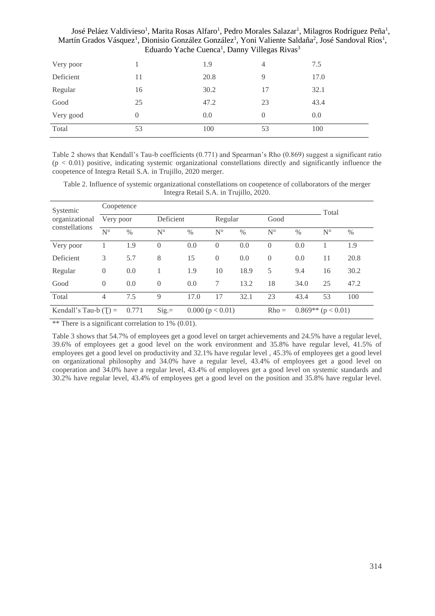| Triartin Oragos Vasquez, Diomsio Oonzarez Oonzarez, Tom Vanchie Salgana, José Sangoval Klos<br>Eduardo Yache Cuenca <sup>1</sup> , Danny Villegas Rivas <sup>3</sup> |    |      |          |      |  |  |  |  |
|----------------------------------------------------------------------------------------------------------------------------------------------------------------------|----|------|----------|------|--|--|--|--|
| Very poor                                                                                                                                                            |    | 1.9  | 4        | 7.5  |  |  |  |  |
| Deficient                                                                                                                                                            | 11 | 20.8 | 9        | 17.0 |  |  |  |  |
| Regular                                                                                                                                                              | 16 | 30.2 | 17       | 32.1 |  |  |  |  |
| Good                                                                                                                                                                 | 25 | 47.2 | 23       | 43.4 |  |  |  |  |
| Very good                                                                                                                                                            |    | 0.0  | $\Omega$ | 0.0  |  |  |  |  |
| Total                                                                                                                                                                | 53 | 100  | 53       | 100  |  |  |  |  |

José Peláez Valdivieso<sup>1</sup>, Marita Rosas Alfaro<sup>1</sup>, Pedro Morales Salazar<sup>1</sup>, Milagros Rodríguez Peña<sup>1</sup>, Martín Grados Vásquez<sup>1</sup>, Dionisio González González<sup>1</sup>, Yoni Valiente Saldaña<sup>2</sup>, José Sandoval Rios<sup>1</sup>,

Table 2 shows that Kendall's Tau-b coefficients (0.771) and Spearman's Rho (0.869) suggest a significant ratio  $(p < 0.01)$  positive, indicating systemic organizational constellations directly and significantly influence the coopetence of Integra Retail S.A. in Trujillo, 2020 merger.

Table 2. Influence of systemic organizational constellations on coopetence of collaborators of the merger Integra Retail S.A. in Trujillo, 2020.

| Systemic<br>organizational<br>constellations | Coopetence  |               |             |                  |             |               |             |                          | Total       |      |
|----------------------------------------------|-------------|---------------|-------------|------------------|-------------|---------------|-------------|--------------------------|-------------|------|
|                                              | Very poor   |               | Deficient   |                  | Regular     |               | Good        |                          |             |      |
|                                              | $N^{\circ}$ | $\frac{0}{0}$ | $N^{\circ}$ | $\%$             | $N^{\circ}$ | $\frac{0}{0}$ | $N^{\circ}$ | $\frac{0}{0}$            | $N^{\circ}$ | $\%$ |
| Very poor                                    |             | 1.9           | $\theta$    | 0.0              | $\Omega$    | 0.0           | $\Omega$    | 0.0                      |             | 1.9  |
| Deficient                                    | 3           | 5.7           | 8           | 15               | $\Omega$    | 0.0           | $\Omega$    | 0.0                      | 11          | 20.8 |
| Regular                                      | $\theta$    | 0.0           |             | 1.9              | 10          | 18.9          | 5           | 9.4                      | 16          | 30.2 |
| Good                                         | $\theta$    | 0.0           | $\theta$    | 0.0              | 7           | 13.2          | 18          | 34.0                     | 25          | 47.2 |
| Total                                        | 4           | 7.5           | 9           | 17.0             | 17          | 32.1          | 23          | 43.4                     | 53          | 100  |
| Kendall's Tau-b $(T)$ =                      |             | 0.771         | $Sig =$     | 0.000 (p < 0.01) |             |               | $Rho =$     | $0.869**$ ( $p < 0.01$ ) |             |      |

\*\* There is a significant correlation to 1% (0.01).

Table 3 shows that 54.7% of employees get a good level on target achievements and 24.5% have a regular level, 39.6% of employees get a good level on the work environment and 35.8% have regular level, 41.5% of employees get a good level on productivity and 32.1% have regular level , 45.3% of employees get a good level on organizational philosophy and 34.0% have a regular level, 43.4% of employees get a good level on cooperation and 34.0% have a regular level, 43.4% of employees get a good level on systemic standards and 30.2% have regular level, 43.4% of employees get a good level on the position and 35.8% have regular level.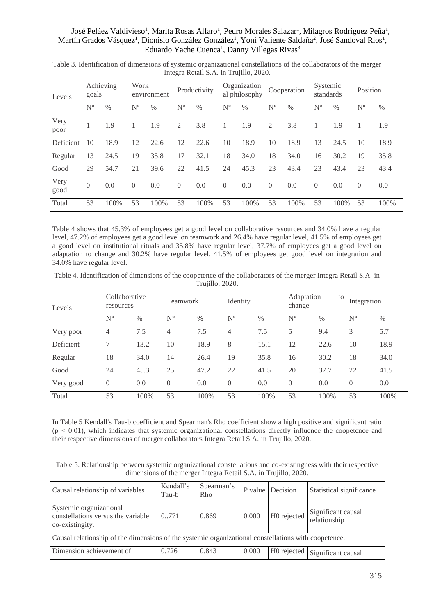# José Peláez Valdivieso<sup>1</sup>, Marita Rosas Alfaro<sup>1</sup>, Pedro Morales Salazar<sup>1</sup>, Milagros Rodríguez Peña<sup>1</sup>, Martín Grados Vásquez<sup>1</sup>, Dionisio González González<sup>1</sup>, Yoni Valiente Saldaña<sup>2</sup>, José Sandoval Rios<sup>1</sup>, Eduardo Yache Cuenca<sup>1</sup>, Danny Villegas Rivas<sup>3</sup>

| Levels       | Achieving<br>goals |      | Work           | environment |                | Productivity |                | Organization<br>al philosophy |                | Cooperation | Systemic<br>standards |      | Position    |      |
|--------------|--------------------|------|----------------|-------------|----------------|--------------|----------------|-------------------------------|----------------|-------------|-----------------------|------|-------------|------|
|              | $N^{\circ}$        | $\%$ | $N^{\circ}$    | $\%$        | $N^{\circ}$    | $\%$         | $N^{\circ}$    | $\%$                          | $N^{\circ}$    | $\%$        | $N^{\circ}$           | $\%$ | $N^{\circ}$ | %    |
| Very<br>poor |                    | 1.9  |                | 1.9         | 2              | 3.8          |                | 1.9                           | 2              | 3.8         |                       | 1.9  |             | 1.9  |
| Deficient    | 10                 | 18.9 | 12             | 22.6        | 12             | 22.6         | 10             | 18.9                          | 10             | 18.9        | 13                    | 24.5 | 10          | 18.9 |
| Regular      | 13                 | 24.5 | 19             | 35.8        | 17             | 32.1         | 18             | 34.0                          | 18             | 34.0        | 16                    | 30.2 | 19          | 35.8 |
| Good         | 29                 | 54.7 | 21             | 39.6        | 22             | 41.5         | 24             | 45.3                          | 23             | 43.4        | 23                    | 43.4 | 23          | 43.4 |
| Very<br>good | $\Omega$           | 0.0  | $\overline{0}$ | 0.0         | $\overline{0}$ | 0.0          | $\overline{0}$ | 0.0                           | $\overline{0}$ | 0.0         | $\overline{0}$        | 0.0  | $\theta$    | 0.0  |
| Total        | 53                 | 100% | 53             | 100%        | 53             | 100%         | 53             | 100%                          | 53             | 100%        | 53                    | 100% | 53          | 100% |

Table 3. Identification of dimensions of systemic organizational constellations of the collaborators of the merger Integra Retail S.A. in Trujillo, 2020.

Table 4 shows that 45.3% of employees get a good level on collaborative resources and 34.0% have a regular level, 47.2% of employees get a good level on teamwork and 26.4% have regular level, 41.5% of employees get a good level on institutional rituals and 35.8% have regular level, 37.7% of employees get a good level on adaptation to change and 30.2% have regular level, 41.5% of employees get good level on integration and 34.0% have regular level.

Table 4. Identification of dimensions of the coopetence of the collaborators of the merger Integra Retail S.A. in Trujillo, 2020.

| Levels    | Collaborative<br>resources |      | Teamwork    |               | Identity    |      | Adaptation<br>to<br>change |               | Integration |      |
|-----------|----------------------------|------|-------------|---------------|-------------|------|----------------------------|---------------|-------------|------|
|           | $N^{\circ}$                | $\%$ | $N^{\circ}$ | $\frac{0}{0}$ | $N^{\circ}$ | $\%$ | $N^{\circ}$                | $\frac{0}{0}$ | $N^{\circ}$ | $\%$ |
| Very poor | 4                          | 7.5  | 4           | 7.5           | 4           | 7.5  | 5                          | 9.4           | 3           | 5.7  |
| Deficient | 7                          | 13.2 | 10          | 18.9          | 8           | 15.1 | 12                         | 22.6          | 10          | 18.9 |
| Regular   | 18                         | 34.0 | 14          | 26.4          | 19          | 35.8 | 16                         | 30.2          | 18          | 34.0 |
| Good      | 24                         | 45.3 | 25          | 47.2          | 22          | 41.5 | 20                         | 37.7          | 22          | 41.5 |
| Very good | $\theta$                   | 0.0  | $\theta$    | 0.0           | $\theta$    | 0.0  | $\overline{0}$             | 0.0           | $\theta$    | 0.0  |
| Total     | 53                         | 100% | 53          | 100%          | 53          | 100% | 53                         | 100%          | 53          | 100% |

In Table 5 Kendall's Tau-b coefficient and Spearman's Rho coefficient show a high positive and significant ratio  $(p < 0.01)$ , which indicates that systemic organizational constellations directly influence the coopetence and their respective dimensions of merger collaborators Integra Retail S.A. in Trujillo, 2020.

Table 5. Relationship between systemic organizational constellations and co-existingness with their respective dimensions of the merger Integra Retail S.A. in Trujillo, 2020.

| Causal relationship of variables                                                                     | Kendall's<br>Tau-b | Spearman's<br>Rho |       | P value Decision | Statistical significance                    |  |  |  |  |
|------------------------------------------------------------------------------------------------------|--------------------|-------------------|-------|------------------|---------------------------------------------|--|--|--|--|
| Systemic organizational<br>constellations versus the variable<br>co-existingity.                     | 0.771              | 0.869             | 0.000 | H0 rejected      | Significant causal<br>relationship          |  |  |  |  |
| Causal relationship of the dimensions of the systemic organizational constellations with coopetence. |                    |                   |       |                  |                                             |  |  |  |  |
| Dimension achievement of                                                                             | 0.726              | 0.843             | 0.000 |                  | $\overline{HO}$ rejected Significant causal |  |  |  |  |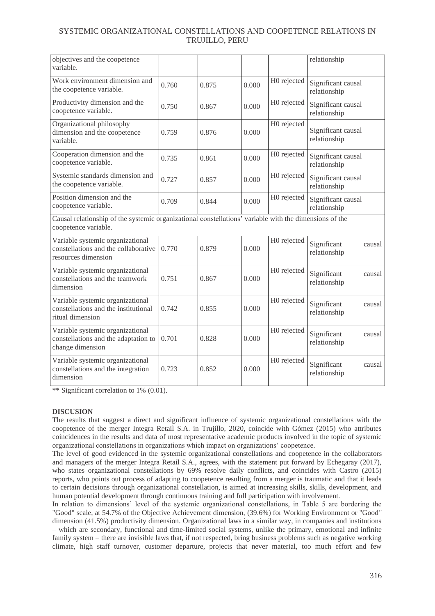# SYSTEMIC ORGANIZATIONAL CONSTELLATIONS AND COOPETENCE RELATIONS IN TRUJILLO, PERU

| objectives and the coopetence<br>variable.                                                                                     |       |       |       |             | relationship                          |
|--------------------------------------------------------------------------------------------------------------------------------|-------|-------|-------|-------------|---------------------------------------|
| Work environment dimension and<br>the coopetence variable.                                                                     | 0.760 | 0.875 | 0.000 | H0 rejected | Significant causal<br>relationship    |
| Productivity dimension and the<br>coopetence variable.                                                                         | 0.750 | 0.867 | 0.000 | H0 rejected | Significant causal<br>relationship    |
| Organizational philosophy<br>dimension and the coopetence<br>variable.                                                         | 0.759 | 0.876 | 0.000 | H0 rejected | Significant causal<br>relationship    |
| Cooperation dimension and the<br>coopetence variable.                                                                          | 0.735 | 0.861 | 0.000 | H0 rejected | Significant causal<br>relationship    |
| Systemic standards dimension and<br>the coopetence variable.                                                                   | 0.727 | 0.857 | 0.000 | H0 rejected | Significant causal<br>relationship    |
| Position dimension and the<br>coopetence variable.                                                                             | 0.709 | 0.844 | 0.000 | H0 rejected | Significant causal<br>relationship    |
| Causal relationship of the systemic organizational constellations' variable with the dimensions of the<br>coopetence variable. |       |       |       |             |                                       |
| Variable systemic organizational<br>constellations and the collaborative<br>resources dimension                                | 0.770 | 0.879 | 0.000 | H0 rejected | Significant<br>causal<br>relationship |
| Variable systemic organizational<br>constellations and the teamwork<br>dimension                                               | 0.751 | 0.867 | 0.000 | H0 rejected | Significant<br>causal<br>relationship |
| Variable systemic organizational<br>constellations and the institutional<br>ritual dimension                                   | 0.742 | 0.855 | 0.000 | H0 rejected | Significant<br>causal<br>relationship |
| Variable systemic organizational<br>constellations and the adaptation to<br>change dimension                                   | 0.701 | 0.828 | 0.000 | H0 rejected | Significant<br>causal<br>relationship |
| Variable systemic organizational<br>constellations and the integration<br>dimension                                            | 0.723 | 0.852 | 0.000 | H0 rejected | Significant<br>causal<br>relationship |

\*\* Significant correlation to 1% (0.01).

# **DISCUSION**

The results that suggest a direct and significant influence of systemic organizational constellations with the coopetence of the merger Integra Retail S.A. in Trujillo, 2020, coincide with Gómez (2015) who attributes coincidences in the results and data of most representative academic products involved in the topic of systemic organizational constellations in organizations which impact on organizations' coopetence.

The level of good evidenced in the systemic organizational constellations and coopetence in the collaborators and managers of the merger Integra Retail S.A., agrees, with the statement put forward by Echegaray (2017), who states organizational constellations by 69% resolve daily conflicts, and coincides with Castro (2015) reports, who points out process of adapting to coopetence resulting from a merger is traumatic and that it leads to certain decisions through organizational constellation, is aimed at increasing skills, skills, development, and human potential development through continuous training and full participation with involvement.

In relation to dimensions' level of the systemic organizational constellations, in Table 5 are bordering the "Good" scale, at 54.7% of the Objective Achievement dimension, (39.6%) for Working Environment or "Good" dimension (41.5%) productivity dimension. Organizational laws in a similar way, in companies and institutions – which are secondary, functional and time-limited social systems, unlike the primary, emotional and infinite family system – there are invisible laws that, if not respected, bring business problems such as negative working climate, high staff turnover, customer departure, projects that never material, too much effort and few